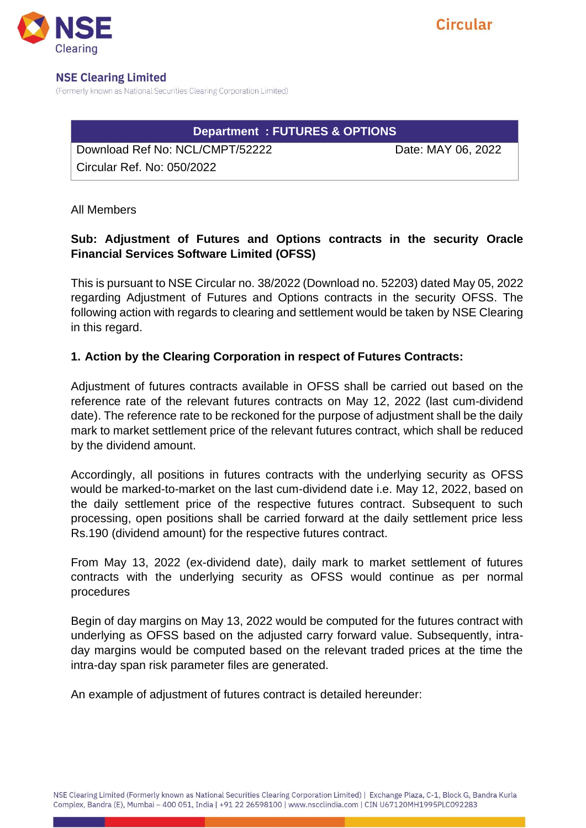

## **NSE Clearing Limited**

(Formerly known as National Securities Clearing Corporation Limited)

# **Department : FUTURES & OPTIONS**

Download Ref No: NCL/CMPT/52222 Date: MAY 06, 2022 Circular Ref. No: 050/2022

All Members

# **Sub: Adjustment of Futures and Options contracts in the security Oracle Financial Services Software Limited (OFSS)**

This is pursuant to NSE Circular no. 38/2022 (Download no. 52203) dated May 05, 2022 regarding Adjustment of Futures and Options contracts in the security OFSS. The following action with regards to clearing and settlement would be taken by NSE Clearing in this regard.

## **1. Action by the Clearing Corporation in respect of Futures Contracts:**

Adjustment of futures contracts available in OFSS shall be carried out based on the reference rate of the relevant futures contracts on May 12, 2022 (last cum-dividend date). The reference rate to be reckoned for the purpose of adjustment shall be the daily mark to market settlement price of the relevant futures contract, which shall be reduced by the dividend amount.

Accordingly, all positions in futures contracts with the underlying security as OFSS would be marked-to-market on the last cum-dividend date i.e. May 12, 2022, based on the daily settlement price of the respective futures contract. Subsequent to such processing, open positions shall be carried forward at the daily settlement price less Rs.190 (dividend amount) for the respective futures contract.

From May 13, 2022 (ex-dividend date), daily mark to market settlement of futures contracts with the underlying security as OFSS would continue as per normal procedures

Begin of day margins on May 13, 2022 would be computed for the futures contract with underlying as OFSS based on the adjusted carry forward value. Subsequently, intraday margins would be computed based on the relevant traded prices at the time the intra-day span risk parameter files are generated.

An example of adjustment of futures contract is detailed hereunder: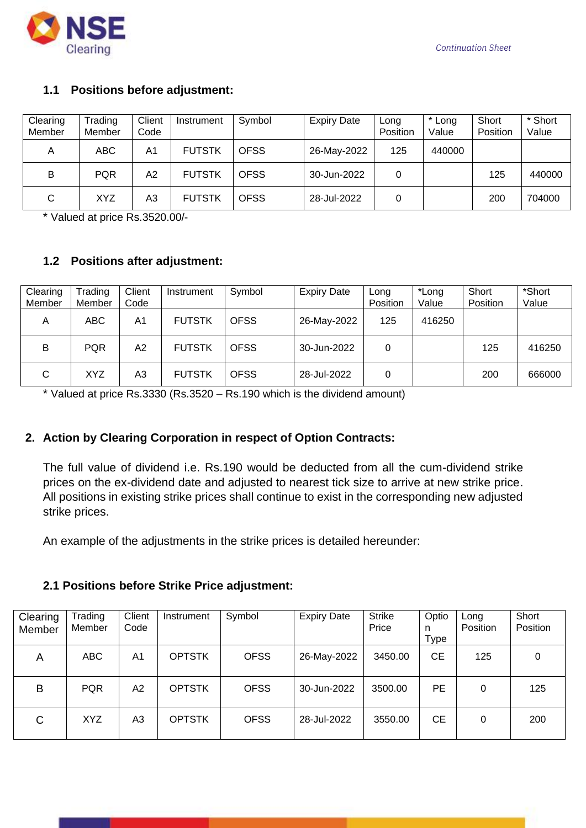

# **1.1 Positions before adjustment:**

| Clearing<br>Member | Trading<br>Member | Client<br>Code | Instrument    | Symbol      | <b>Expiry Date</b> | Long<br>Position | Long<br>Value | Short<br>Position | * Short<br>Value |
|--------------------|-------------------|----------------|---------------|-------------|--------------------|------------------|---------------|-------------------|------------------|
| A                  | ABC               | A <sub>1</sub> | <b>FUTSTK</b> | <b>OFSS</b> | 26-May-2022        | 125              | 440000        |                   |                  |
| B                  | <b>PQR</b>        | A2             | <b>FUTSTK</b> | <b>OFSS</b> | 30-Jun-2022        | 0                |               | 125               | 440000           |
| C                  | <b>XYZ</b>        | A3             | <b>FUTSTK</b> | <b>OFSS</b> | 28-Jul-2022        |                  |               | 200               | 704000           |

\* Valued at price Rs.3520.00/-

# **1.2 Positions after adjustment:**

| Clearing<br>Member | Trading<br>Member | Client<br>Code | Instrument    | Symbol      | <b>Expiry Date</b> | Long<br>Position | *Long<br>Value | Short<br>Position | *Short<br>Value |
|--------------------|-------------------|----------------|---------------|-------------|--------------------|------------------|----------------|-------------------|-----------------|
| A                  | ABC               | A1             | <b>FUTSTK</b> | <b>OFSS</b> | 26-May-2022        | 125              | 416250         |                   |                 |
| B                  | <b>PQR</b>        | А2             | <b>FUTSTK</b> | <b>OFSS</b> | 30-Jun-2022        | 0                |                | 125               | 416250          |
| C                  | XYZ               | A3             | <b>FUTSTK</b> | <b>OFSS</b> | 28-Jul-2022        | 0                |                | 200               | 666000          |

\* Valued at price Rs.3330 (Rs.3520 – Rs.190 which is the dividend amount)

## **2. Action by Clearing Corporation in respect of Option Contracts:**

The full value of dividend i.e. Rs.190 would be deducted from all the cum-dividend strike prices on the ex-dividend date and adjusted to nearest tick size to arrive at new strike price. All positions in existing strike prices shall continue to exist in the corresponding new adjusted strike prices.

An example of the adjustments in the strike prices is detailed hereunder:

#### **2.1 Positions before Strike Price adjustment:**

| Clearing<br>Member | Trading<br>Member | Client<br>Code | Instrument    | Symbol      | <b>Expiry Date</b> | <b>Strike</b><br>Price | Optio<br>n<br><b>Type</b> | Long<br>Position | Short<br>Position |
|--------------------|-------------------|----------------|---------------|-------------|--------------------|------------------------|---------------------------|------------------|-------------------|
| A                  | <b>ABC</b>        | A <sub>1</sub> | <b>OPTSTK</b> | <b>OFSS</b> | 26-May-2022        | 3450.00                | <b>CE</b>                 | 125              | 0                 |
| B                  | <b>PQR</b>        | A <sub>2</sub> | <b>OPTSTK</b> | <b>OFSS</b> | 30-Jun-2022        | 3500.00                | <b>PE</b>                 | 0                | 125               |
| C                  | <b>XYZ</b>        | A <sub>3</sub> | <b>OPTSTK</b> | <b>OFSS</b> | 28-Jul-2022        | 3550.00                | <b>CE</b>                 | 0                | 200               |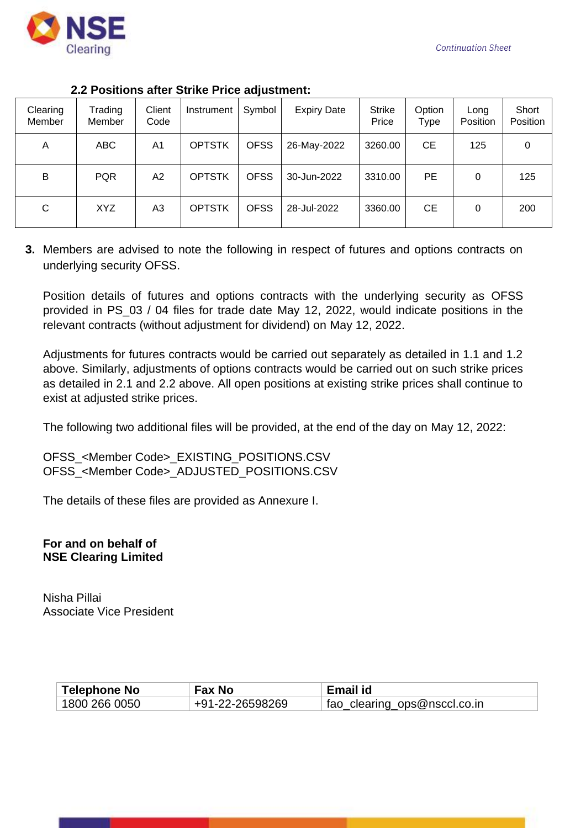

| Clearing | Trading    | Client         | Instrument    | Symbol      | <b>Expiry Date</b> | <b>Strike</b> | Option    | Long     | Short    |
|----------|------------|----------------|---------------|-------------|--------------------|---------------|-----------|----------|----------|
| Member   | Member     | Code           |               |             |                    | Price         | Type      | Position | Position |
| A        | <b>ABC</b> | A <sub>1</sub> | <b>OPTSTK</b> | <b>OFSS</b> | 26-May-2022        | 3260.00       | <b>CE</b> | 125      | 0        |
|          |            |                |               |             |                    |               |           |          |          |
| B        | <b>PQR</b> | A2             | <b>OPTSTK</b> | <b>OFSS</b> | 30-Jun-2022        | 3310.00       | <b>PE</b> | 0        | 125      |
|          |            |                |               |             |                    |               |           |          |          |
|          |            |                |               |             |                    |               |           |          |          |
| C        | <b>XYZ</b> | A3             | <b>OPTSTK</b> | <b>OFSS</b> | 28-Jul-2022        | 3360.00       | <b>CE</b> | 0        | 200      |
|          |            |                |               |             |                    |               |           |          |          |

## **2.2 Positions after Strike Price adjustment:**

**3.** Members are advised to note the following in respect of futures and options contracts on underlying security OFSS.

Position details of futures and options contracts with the underlying security as OFSS provided in PS\_03 / 04 files for trade date May 12, 2022, would indicate positions in the relevant contracts (without adjustment for dividend) on May 12, 2022.

Adjustments for futures contracts would be carried out separately as detailed in 1.1 and 1.2 above. Similarly, adjustments of options contracts would be carried out on such strike prices as detailed in 2.1 and 2.2 above. All open positions at existing strike prices shall continue to exist at adjusted strike prices.

The following two additional files will be provided, at the end of the day on May 12, 2022:

OFSS\_<Member Code>\_EXISTING\_POSITIONS.CSV OFSS\_<Member Code>\_ADJUSTED\_POSITIONS.CSV

The details of these files are provided as Annexure I.

**For and on behalf of NSE Clearing Limited**

Nisha Pillai Associate Vice President

| Telephone No             | <b>Fax No</b>   | Email id                     |
|--------------------------|-----------------|------------------------------|
| $^{\circ}$ 1800 266 0050 | +91-22-26598269 | fao_clearing_ops@nsccl.co.in |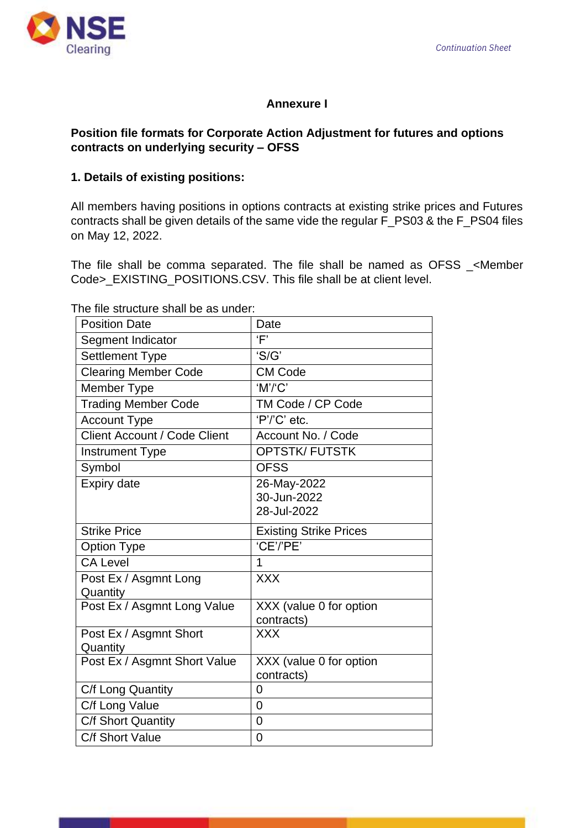

# **Annexure I**

# **Position file formats for Corporate Action Adjustment for futures and options contracts on underlying security – OFSS**

# **1. Details of existing positions:**

All members having positions in options contracts at existing strike prices and Futures contracts shall be given details of the same vide the regular F\_PS03 & the F\_PS04 files on May 12, 2022.

The file shall be comma separated. The file shall be named as OFSS \_<Member Code>\_EXISTING\_POSITIONS.CSV. This file shall be at client level.

The file structure shall be as under:

| <b>Position Date</b>                | Date                                      |
|-------------------------------------|-------------------------------------------|
| Segment Indicator                   | 'F'                                       |
| <b>Settlement Type</b>              | 'S/G'                                     |
| <b>Clearing Member Code</b>         | <b>CM Code</b>                            |
| Member Type                         | 'M'/'C'                                   |
| <b>Trading Member Code</b>          | TM Code / CP Code                         |
| <b>Account Type</b>                 | 'P'/'C' etc.                              |
| <b>Client Account / Code Client</b> | Account No. / Code                        |
| <b>Instrument Type</b>              | <b>OPTSTK/FUTSTK</b>                      |
| Symbol                              | <b>OFSS</b>                               |
| <b>Expiry date</b>                  | 26-May-2022<br>30-Jun-2022<br>28-Jul-2022 |
| <b>Strike Price</b>                 | <b>Existing Strike Prices</b>             |
| <b>Option Type</b>                  | 'CE'/'PE'                                 |
| <b>CA Level</b>                     | 1                                         |
| Post Ex / Asgmnt Long<br>Quantity   | <b>XXX</b>                                |
| Post Ex / Asgmnt Long Value         | XXX (value 0 for option<br>contracts)     |
| Post Ex / Asgmnt Short<br>Quantity  | <b>XXX</b>                                |
| Post Ex / Asgmnt Short Value        | XXX (value 0 for option<br>contracts)     |
| C/f Long Quantity                   | 0                                         |
| C/f Long Value                      | $\overline{0}$                            |
| C/f Short Quantity                  | $\overline{0}$                            |
| C/f Short Value                     | 0                                         |